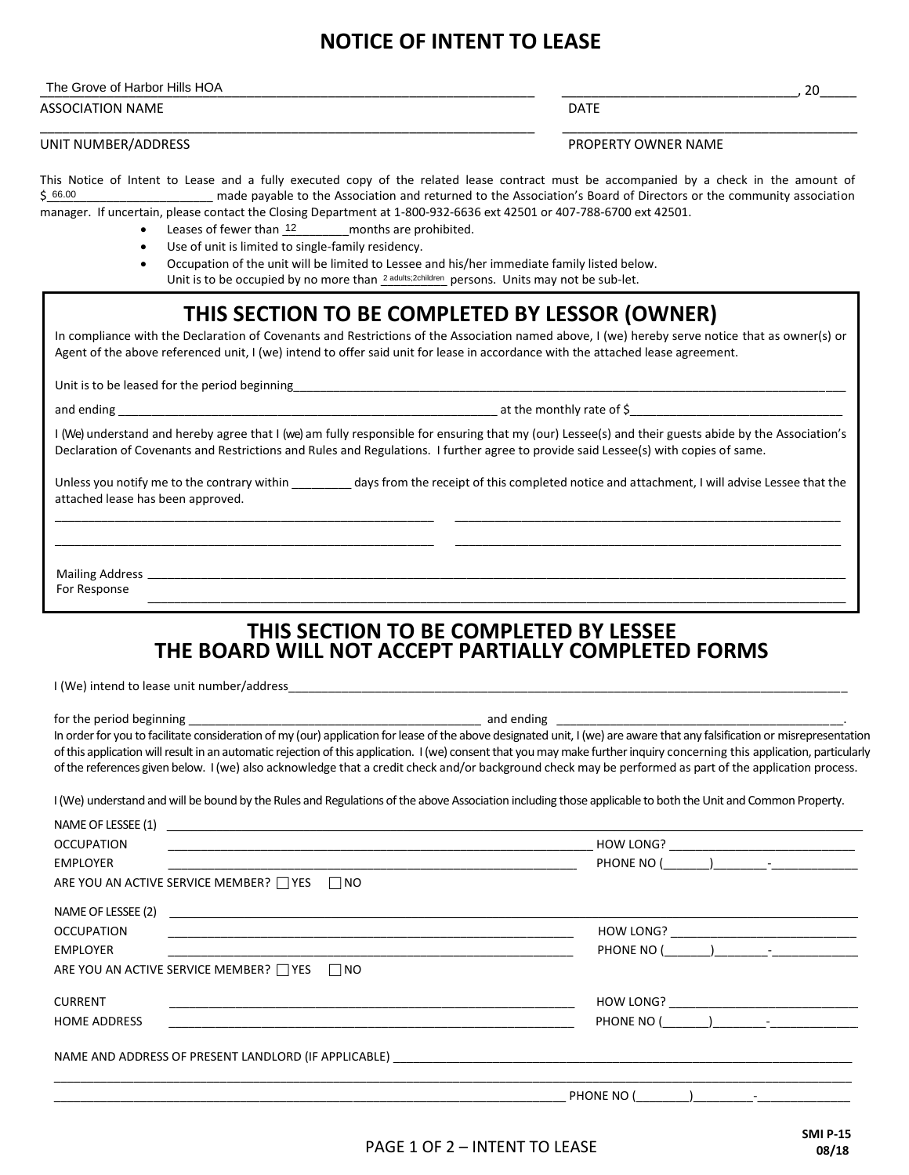## **NOTICE OF INTENT TO LEASE**

| The Grove of Harbor Hills h.<br>HOA | าึ<br>$\sim$ |
|-------------------------------------|--------------|
|                                     |              |

ASSOCIATION NAME **DATE** 

UNIT NUMBER/ADDRESS PROPERTY OWNER NAME

This Notice of Intent to Lease and a fully executed copy of the related lease contract must be accompanied by a check in the amount of \_made payable to the Association and returned to the Association's Board of Directors or the community association manager. If uncertain, please contact the Closing Department at 1-800-932-6636 ext 42501 or 407-788-6700 ext 42501. 66.00

\_\_\_\_\_\_\_\_\_\_\_\_\_\_\_\_\_\_\_\_\_\_\_\_\_\_\_\_\_\_\_\_\_\_\_\_\_\_\_\_\_\_\_\_\_\_\_\_\_\_\_\_\_\_\_\_\_\_\_\_\_\_\_\_\_\_\_ \_\_\_\_\_\_\_\_\_\_\_\_\_\_\_\_\_\_\_\_\_\_\_\_\_\_\_\_\_\_\_\_\_\_\_\_\_\_\_\_

 $\bullet$  Leases of fewer than  $\frac{12}{2}$  months are prohibited.

- Use of unit is limited to single-family residency.
- Occupation of the unit will be limited to Lessee and his/her immediate family listed below.

Unit is to be occupied by no more than <sup>2 adults;2children</sup> persons. Units may not be sub-let.

## **THIS SECTION TO BE COMPLETED BY LESSOR (OWNER)**

In compliance with the Declaration of Covenants and Restrictions of the Association named above, I (we) hereby serve notice that as owner(s) or Agent of the above referenced unit, I (we) intend to offer said unit for lease in accordance with the attached lease agreement.

Unit is to be leased for the period beginning

and ending \_\_\_\_\_\_\_\_\_\_\_\_\_\_\_\_\_\_\_\_\_\_\_\_\_\_\_\_\_\_\_\_\_\_\_\_\_\_\_\_\_\_\_\_\_\_\_\_\_\_\_\_\_\_\_\_\_ at the monthly rate of \$\_\_\_\_\_\_\_\_\_\_\_\_\_\_\_\_\_\_\_\_\_\_\_\_\_\_\_\_\_\_\_\_

I (We) understand and hereby agree that I (we) am fully responsible for ensuring that my (our) Lessee(s) and their guests abide by the Association's Declaration of Covenants and Restrictions and Rules and Regulations. I further agree to provide said Lessee(s) with copies of same.

Unless you notify me to the contrary within \_\_\_\_\_\_\_\_\_ days from the receipt of this completed notice and attachment, I will advise Lessee that the attached lease has been approved. \_\_\_\_\_\_\_\_\_\_\_\_\_\_\_\_\_\_\_\_\_\_\_\_\_\_\_\_\_\_\_\_\_\_\_\_\_\_\_\_\_\_\_\_\_\_\_\_\_\_\_\_\_\_\_\_\_ \_\_\_\_\_\_\_\_\_\_\_\_\_\_\_\_\_\_\_\_\_\_\_\_\_\_\_\_\_\_\_\_\_\_\_\_\_\_\_\_\_\_\_\_\_\_\_\_\_\_\_\_\_\_\_\_\_\_

\_\_\_\_\_\_\_\_\_\_\_\_\_\_\_\_\_\_\_\_\_\_\_\_\_\_\_\_\_\_\_\_\_\_\_\_\_\_\_\_\_\_\_\_\_\_\_\_\_\_\_\_\_\_\_\_\_ \_\_\_\_\_\_\_\_\_\_\_\_\_\_\_\_\_\_\_\_\_\_\_\_\_\_\_\_\_\_\_\_\_\_\_\_\_\_\_\_\_\_\_\_\_\_\_\_\_\_\_\_\_\_\_\_\_\_

\_\_\_\_\_\_\_\_\_\_\_\_\_\_\_\_\_\_\_\_\_\_\_\_\_\_\_\_\_\_\_\_\_\_\_\_\_\_\_\_\_\_\_\_\_\_\_\_\_\_\_\_\_\_\_\_\_\_\_\_\_\_\_\_\_\_\_\_\_\_\_\_\_\_\_\_\_\_\_\_\_\_\_\_\_\_\_\_\_\_\_\_\_\_\_\_\_\_\_\_\_\_\_\_\_ Mailing Address

 \_\_\_\_\_\_\_\_\_\_\_\_\_\_\_\_\_\_\_\_\_\_\_\_\_\_\_\_\_\_\_\_\_\_\_\_\_\_\_\_\_\_\_\_\_\_\_\_\_\_\_\_\_\_\_\_\_\_\_\_\_\_\_\_\_\_\_\_\_\_\_\_\_\_\_\_\_\_\_\_\_\_\_\_\_\_\_\_\_\_\_\_\_\_\_\_\_\_\_\_\_\_\_\_\_ For Response

## **THIS SECTION TO BE COMPLETED BY LESSEE THE BOARD WILL NOT ACCEPT PARTIALLY COMPLETED FORMS**

I (We) intend to lease unit number/address

for the period beginning \_\_\_\_\_\_\_\_\_\_\_\_\_\_\_\_\_\_\_\_\_\_\_\_\_\_\_\_\_\_\_\_\_\_\_\_\_\_\_\_\_\_\_\_ and ending \_\_\_\_\_\_\_\_\_\_\_\_\_\_\_\_\_\_\_\_\_\_\_\_\_\_\_\_\_\_\_\_\_\_\_\_\_\_\_\_\_\_\_. In order for you to facilitate consideration of my (our) application for lease of the above designated unit, I (we) are aware that any falsification or misrepresentation of this application will result in an automatic rejection of this application. I (we) consent that you may make further inquiry concerning this application, particularly of the references given below. I (we) also acknowledge that a credit check and/or background check may be performed as part of the application process.

I (We) understand and will be bound by the Rules and Regulations of the above Association including those applicable to both the Unit and Common Property.

| NAME OF LESSEE (1)<br><u>a sa barang ang pagpalang na mga barang ang pagpalang na mga barang ang pagpalang na mga barang na mga barang</u>  |                                                                     |
|---------------------------------------------------------------------------------------------------------------------------------------------|---------------------------------------------------------------------|
| <b>OCCUPATION</b>                                                                                                                           | HOW LONG?                                                           |
| <b>EMPLOYER</b>                                                                                                                             | PHONE NO (                                                          |
| ARE YOU AN ACTIVE SERVICE MEMBER? TYES TINO                                                                                                 |                                                                     |
| NAME OF LESSEE (2)<br><u> 1980 - Johann Barn, mars ann an t-Alban ann an t-Alban ann an t-Alban ann an t-Alban ann an t-Alban ann an t-</u> |                                                                     |
| <b>OCCUPATION</b>                                                                                                                           | HOW LONG?                                                           |
| EMPLOYER                                                                                                                                    | PHONE NO (                                                          |
| ARE YOU AN ACTIVE SERVICE MEMBER? □ YES □ NO                                                                                                |                                                                     |
| <b>CURRENT</b>                                                                                                                              |                                                                     |
| <b>HOME ADDRESS</b>                                                                                                                         | PHONE NO (<br>$\begin{pmatrix} 1 & 1 & 1 \ 1 & 1 & 1 \end{pmatrix}$ |
|                                                                                                                                             |                                                                     |
|                                                                                                                                             | PHONE NO (                                                          |